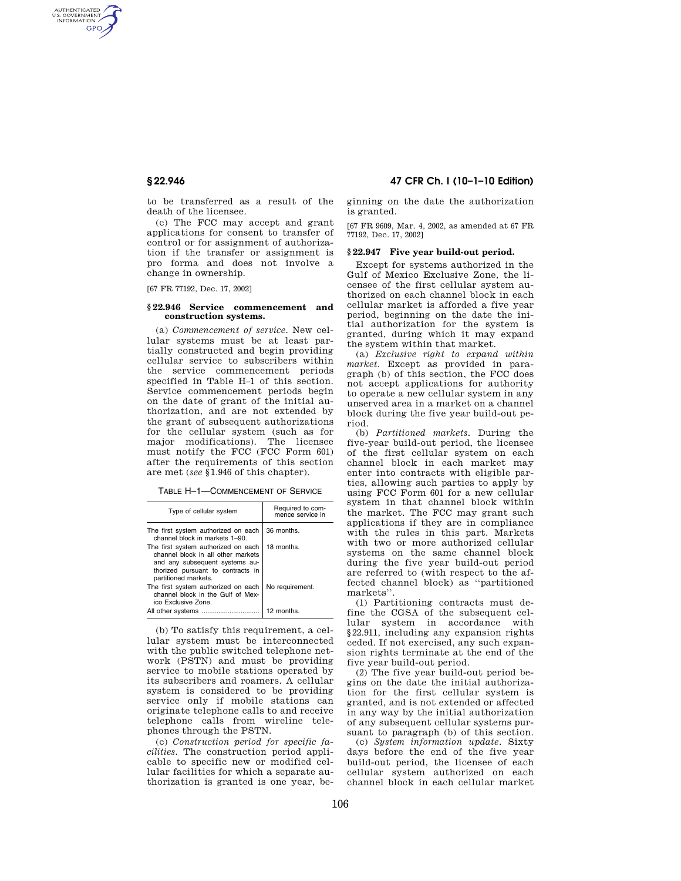AUTHENTICATED<br>U.S. GOVERNMENT<br>INFORMATION GPO

> to be transferred as a result of the death of the licensee.

> (c) The FCC may accept and grant applications for consent to transfer of control or for assignment of authorization if the transfer or assignment is pro forma and does not involve a change in ownership.

[67 FR 77192, Dec. 17, 2002]

#### **§ 22.946 Service commencement and construction systems.**

(a) *Commencement of service.* New cellular systems must be at least partially constructed and begin providing cellular service to subscribers within the service commencement periods specified in Table H–1 of this section. Service commencement periods begin on the date of grant of the initial authorization, and are not extended by the grant of subsequent authorizations for the cellular system (such as for major modifications). The licensee must notify the FCC (FCC Form 601) after the requirements of this section are met (*see* §1.946 of this chapter).

TABLE H–1—COMMENCEMENT OF SERVICE

| Type of cellular system                                                                                                                                                  | Required to com-<br>mence service in |
|--------------------------------------------------------------------------------------------------------------------------------------------------------------------------|--------------------------------------|
| The first system authorized on each<br>channel block in markets 1-90                                                                                                     | 36 months.                           |
| The first system authorized on each<br>channel block in all other markets<br>and any subsequent systems au-<br>thorized pursuant to contracts in<br>partitioned markets. | 18 months.                           |
| The first system authorized on each<br>channel block in the Gulf of Mex-<br>ico Exclusive Zone.                                                                          | No requirement.                      |
|                                                                                                                                                                          | 12 months.                           |

(b) To satisfy this requirement, a cellular system must be interconnected with the public switched telephone network (PSTN) and must be providing service to mobile stations operated by its subscribers and roamers. A cellular system is considered to be providing service only if mobile stations can originate telephone calls to and receive telephone calls from wireline telephones through the PSTN.

(c) *Construction period for specific facilities.* The construction period applicable to specific new or modified cellular facilities for which a separate authorization is granted is one year, be-

# **§ 22.946 47 CFR Ch. I (10–1–10 Edition)**

ginning on the date the authorization is granted.

[67 FR 9609, Mar. 4, 2002, as amended at 67 FR 77192, Dec. 17, 2002]

### **§ 22.947 Five year build-out period.**

Except for systems authorized in the Gulf of Mexico Exclusive Zone, the licensee of the first cellular system authorized on each channel block in each cellular market is afforded a five year period, beginning on the date the initial authorization for the system is granted, during which it may expand the system within that market.

(a) *Exclusive right to expand within market.* Except as provided in paragraph (b) of this section, the FCC does not accept applications for authority to operate a new cellular system in any unserved area in a market on a channel block during the five year build-out period.

(b) *Partitioned markets*. During the five-year build-out period, the licensee of the first cellular system on each channel block in each market may enter into contracts with eligible parties, allowing such parties to apply by using FCC Form 601 for a new cellular system in that channel block within the market. The FCC may grant such applications if they are in compliance with the rules in this part. Markets with two or more authorized cellular systems on the same channel block during the five year build-out period are referred to (with respect to the affected channel block) as ''partitioned markets''.

(1) Partitioning contracts must define the CGSA of the subsequent cellular system in accordance with §22.911, including any expansion rights ceded. If not exercised, any such expansion rights terminate at the end of the five year build-out period.

(2) The five year build-out period begins on the date the initial authorization for the first cellular system is granted, and is not extended or affected in any way by the initial authorization of any subsequent cellular systems pursuant to paragraph (b) of this section.

(c) *System information update*. Sixty days before the end of the five year build-out period, the licensee of each cellular system authorized on each channel block in each cellular market